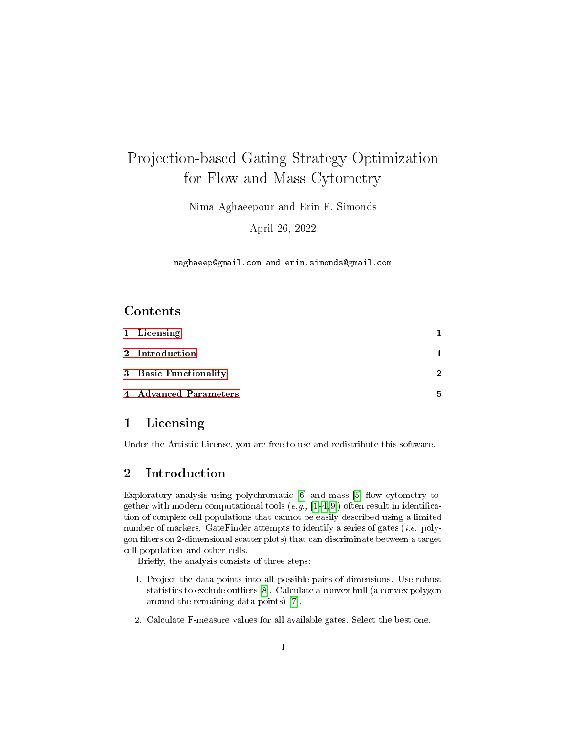# Projection-based Gating Strategy Optimization for Flow and Mass Cytometry

Nima Aghaeepour and Erin F. Simonds

April 26, 2022

naghaeep@gmail.com and erin.simonds@gmail.com

#### Contents

| 1 Licensing           |   |
|-----------------------|---|
| 2 Introduction        |   |
| 3 Basic Functionality | 2 |
| 4 Advanced Parameters | 5 |

#### <span id="page-0-0"></span>1 Licensing

Under the Artistic License, you are free to use and redistribute this software.

#### <span id="page-0-1"></span>2 Introduction

Exploratory analysis using polychromatic  $[6]$  and mass  $[5]$  flow cytometry together with modern computational tools  $(e.g., [1-4,9])$  $(e.g., [1-4,9])$  $(e.g., [1-4,9])$  $(e.g., [1-4,9])$  $(e.g., [1-4,9])$  $(e.g., [1-4,9])$  often result in identification of complex cell populations that cannot be easily described using a limited number of markers. GateFinder attempts to identify a series of gates (*i.e.* polygon filters on 2-dimensional scatter plots) that can discriminate between a target cell population and other cells.

Briefly, the analysis consists of three steps:

- 1. Project the data points into all possible pairs of dimensions. Use robust statistics to exclude outliers [\[8\]](#page-7-4). Calculate a convex hull (a convex polygon around the remaining data points) [\[7\]](#page-7-5).
- 2. Calculate F-measure values for all available gates. Select the best one.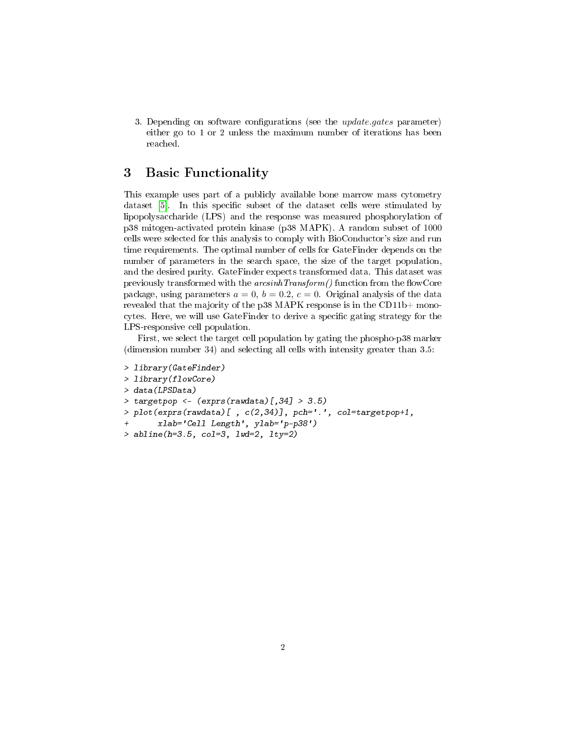3. Depending on software configurations (see the *update.gates* parameter) either go to 1 or 2 unless the maximum number of iterations has been reached.

## <span id="page-1-0"></span>3 Basic Functionality

This example uses part of a publicly available bone marrow mass cytometry dataset [\[5\]](#page-7-1). In this specific subset of the dataset cells were stimulated by lipopolysaccharide (LPS) and the response was measured phosphorylation of p38 mitogen-activated protein kinase (p38 MAPK). A random subset of 1000 cells were selected for this analysis to comply with BioConductor's size and run time requirements. The optimal number of cells for GateFinder depends on the number of parameters in the search space, the size of the target population, and the desired purity. GateFinder expects transformed data. This dataset was previously transformed with the  $arcsinhTransform()$  function from the flowCore package, using parameters  $a = 0$ ,  $b = 0.2$ ,  $c = 0$ . Original analysis of the data revealed that the majority of the p38 MAPK response is in the CD11b+ monocytes. Here, we will use GateFinder to derive a specific gating strategy for the LPS-responsive cell population.

First, we select the target cell population by gating the phospho-p38 marker (dimension number 34) and selecting all cells with intensity greater than 3.5:

```
> library(GateFinder)
> library(flowCore)
> data(LPSData)
> targetpop <- (exprs(rawdata)[,34] > 3.5)
> plot(exprs(rawdata) [, c(2,34) ], pch='.', col = targetpop+1,
       + xlab='Cell Length', ylab='p-p38')
> abline(h=3.5, col=3, lwd=2, lty=2)
```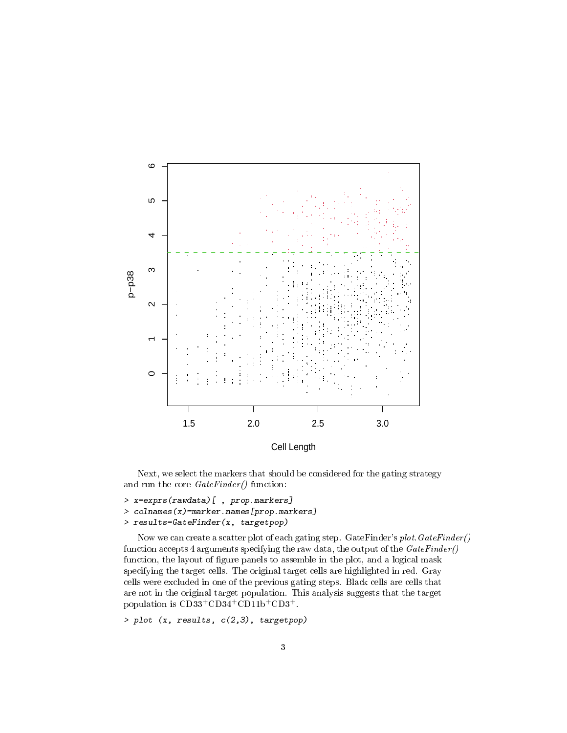

Cell Length

Next, we select the markers that should be considered for the gating strategy and run the core  $GateFinder()$  function:

```
> x=exprs(rawdata)[ , prop.markers]
```
- > colnames(x)=marker.names[prop.markers]
- > results=GateFinder(x, targetpop)

Now we can create a scatter plot of each gating step. GateFinder's plot.GateFinder() function accepts 4 arguments specifying the raw data, the output of the  $GateFinder()$ function, the layout of figure panels to assemble in the plot, and a logical mask specifying the target cells. The original target cells are highlighted in red. Gray cells were excluded in one of the previous gating steps. Black cells are cells that are not in the original target population. This analysis suggests that the target population is CD33<sup>+</sup>CD34<sup>+</sup>CD11b<sup>+</sup>CD3<sup>+</sup>.

```
> plot (x, results, c(2,3), targetpop)
```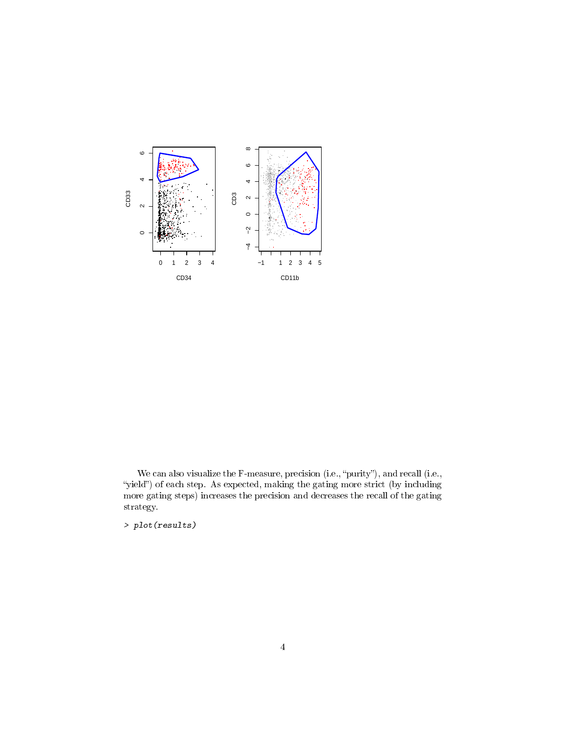

We can also visualize the F-measure, precision (i.e., "purity"), and recall (i.e., "yield") of each step. As expected, making the gating more strict (by including more gating steps) increases the precision and decreases the recall of the gating strategy.

> plot(results)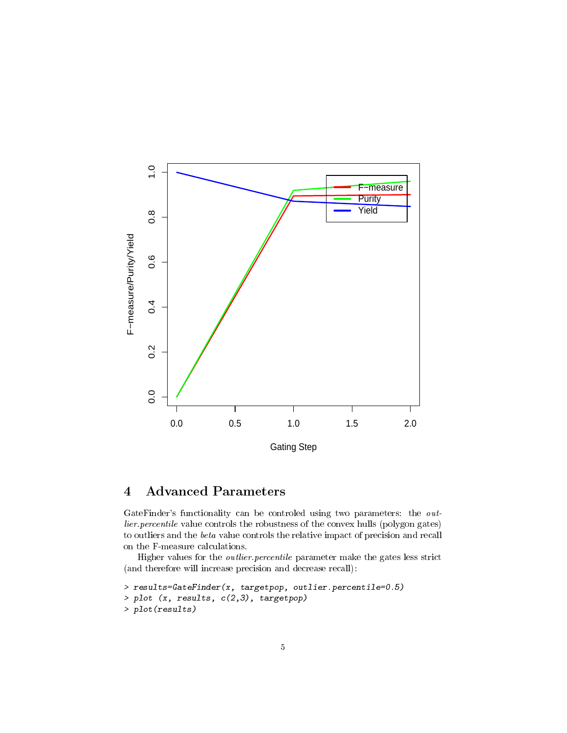

## <span id="page-4-0"></span>4 Advanced Parameters

GateFinder's functionality can be controled using two parameters: the outlier.percentile value controls the robustness of the convex hulls (polygon gates) to outliers and the beta value controls the relative impact of precision and recall on the F-measure calculations.

Higher values for the outlier.percentile parameter make the gates less strict (and therefore will increase precision and decrease recall):

```
> results=GateFinder(x, targetpop, outlier.percentile=0.5)
> plot (x, results, c(2,3), targetpop)
> plot(results)
```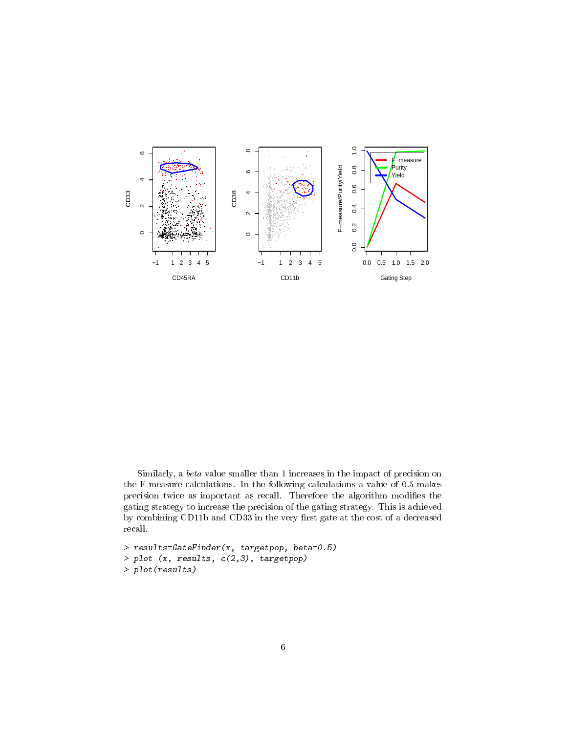

Similarly, a beta value smaller than 1 increases in the impact of precision on the F-measure calculations. In the following calculations a value of 0.5 makes precision twice as important as recall. Therefore the algorithm modifies the gating strategy to increase the precision of the gating strategy. This is achieved by combining CD11b and CD33 in the very first gate at the cost of a decreased recall.

> results=GateFinder(x, targetpop, beta=0.5) > plot (x, results, c(2,3), targetpop) > plot(results)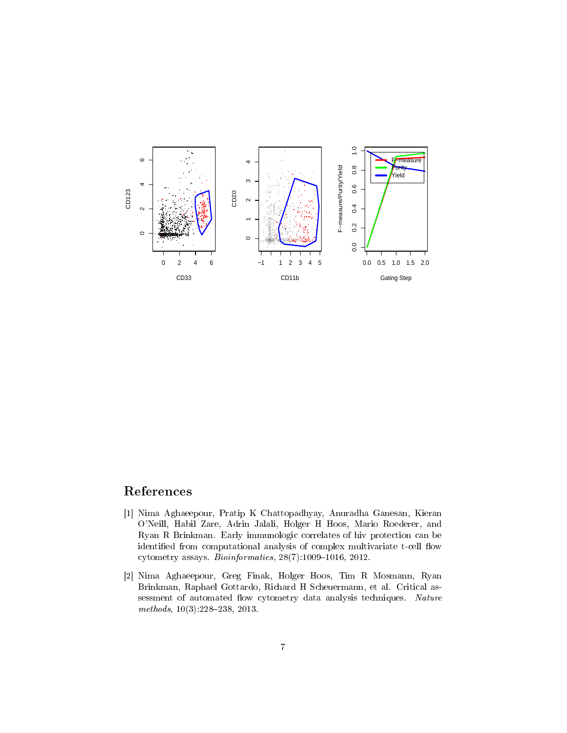

### References

- <span id="page-6-0"></span>[1] Nima Aghaeepour, Pratip K Chattopadhyay, Anuradha Ganesan, Kieran O'Neill, Habil Zare, Adrin Jalali, Holger H Hoos, Mario Roederer, and Ryan R Brinkman. Early immunologic correlates of hiv protection can be identified from computational analysis of complex multivariate t-cell flow cytometry assays.  $Bioinformatics, 28(7):1009-1016, 2012.$
- [2] Nima Aghaeepour, Greg Finak, Holger Hoos, Tim R Mosmann, Ryan Brinkman, Raphael Gottardo, Richard H Scheuermann, et al. Critical assessment of automated flow cytometry data analysis techniques. Nature  $methods, 10(3):228-238, 2013.$